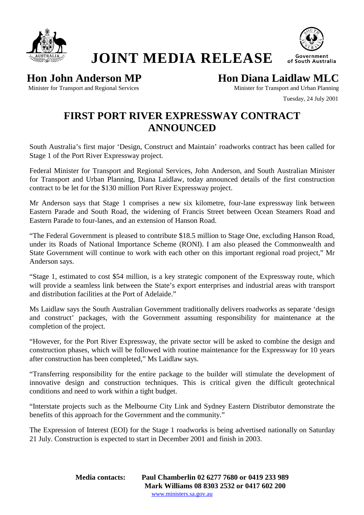

**JOINT MEDIA RELEASE** 



**Hon John Anderson MP Hon Diana Laidlaw MLC** 

Minister for Transport and Regional Services and American Minister for Transport and Urban Planning

Tuesday, 24 July 2001

## **FIRST PORT RIVER EXPRESSWAY CONTRACT ANNOUNCED**

South Australia's first major 'Design, Construct and Maintain' roadworks contract has been called for Stage 1 of the Port River Expressway project.

Federal Minister for Transport and Regional Services, John Anderson, and South Australian Minister for Transport and Urban Planning, Diana Laidlaw, today announced details of the first construction contract to be let for the \$130 million Port River Expressway project.

Mr Anderson says that Stage 1 comprises a new six kilometre, four-lane expressway link between Eastern Parade and South Road, the widening of Francis Street between Ocean Steamers Road and Eastern Parade to four-lanes, and an extension of Hanson Road.

"The Federal Government is pleased to contribute \$18.5 million to Stage One, excluding Hanson Road, under its Roads of National Importance Scheme (RONI). I am also pleased the Commonwealth and State Government will continue to work with each other on this important regional road project," Mr Anderson says.

"Stage 1, estimated to cost \$54 million, is a key strategic component of the Expressway route, which will provide a seamless link between the State's export enterprises and industrial areas with transport and distribution facilities at the Port of Adelaide."

Ms Laidlaw says the South Australian Government traditionally delivers roadworks as separate 'design and construct' packages, with the Government assuming responsibility for maintenance at the completion of the project.

"However, for the Port River Expressway, the private sector will be asked to combine the design and construction phases, which will be followed with routine maintenance for the Expressway for 10 years after construction has been completed," Ms Laidlaw says.

"Transferring responsibility for the entire package to the builder will stimulate the development of innovative design and construction techniques. This is critical given the difficult geotechnical conditions and need to work within a tight budget.

"Interstate projects such as the Melbourne City Link and Sydney Eastern Distributor demonstrate the benefits of this approach for the Government and the community."

The Expression of Interest (EOI) for the Stage 1 roadworks is being advertised nationally on Saturday 21 July. Construction is expected to start in December 2001 and finish in 2003.

> **Media contacts: Paul Chamberlin 02 6277 7680 or 0419 233 989 Mark Williams 08 8303 2532 or 0417 602 200**  www.ministers.sa.gov.au